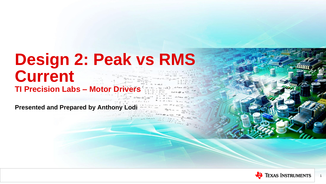## **Design 2: Peak vs RMS Current TI Precision Labs - Motor Drive**

**Presented and Prepared by Anthony Lodi**



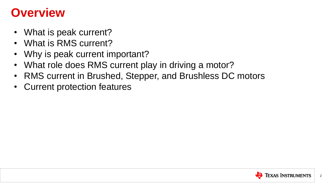#### **Overview**

- What is peak current?
- What is RMS current?
- Why is peak current important?
- What role does RMS current play in driving a motor?
- RMS current in Brushed, Stepper, and Brushless DC motors
- Current protection features

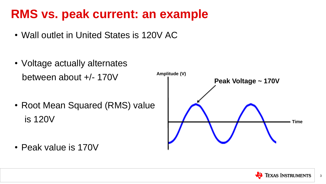#### **RMS vs. peak current: an example**

- Wall outlet in United States is 120V AC
- Voltage actually alternates between about +/- 170V
- Root Mean Squared (RMS) value is 120V

• Peak value is 170V



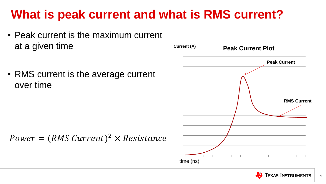#### **What is peak current and what is RMS current?**

- Peak current is the maximum current at a given time
- RMS current is the average current over time

 $Power = (RMS Current)^2 \times Resistance$ 



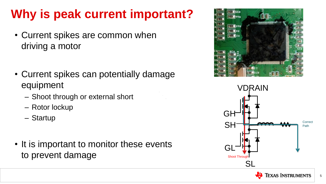# **Why is peak current important?**

- Current spikes are common when driving a motor
- Current spikes can potentially damage equipment
	- Shoot through or external short
	- Rotor lockup
	- Startup
- It is important to monitor these events to prevent damage





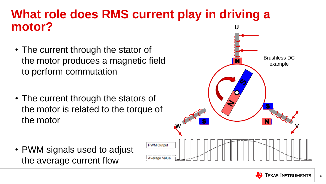- The current through the stator of the motor produces a magnetic field to perform commutation
- The current through the stators of the motor is related to the torque of the motor

#### **What role does RMS current play in driving a motor? U**

• PWM signals used to adjust the average current flow



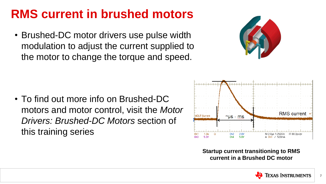## **RMS current in brushed motors**

• Brushed-DC motor drivers use pulse width modulation to adjust the current supplied to the motor to change the torque and speed.

• To find out more info on Brushed-DC motors and motor control, visit the *Motor Drivers: Brushed-DC Motors* section of this training series



#### **Startup current transitioning to RMS**



**current in a Brushed DC motor**

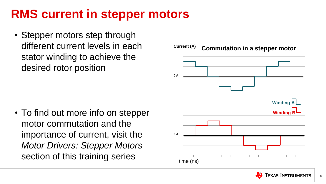



## **RMS current in stepper motors**

• Stepper motors step through different current levels in each stator winding to achieve the desired rotor position

• To find out more info on stepper motor commutation and the importance of current, visit the *Motor Drivers: Stepper Motors*  section of this training series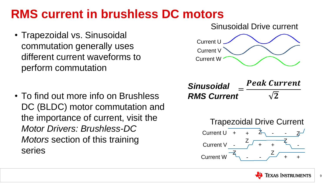## **RMS current in brushless DC motors**

- Trapezoidal vs. Sinusoidal commutation generally uses different current waveforms to perform commutation
- To find out more info on Brushless DC (BLDC) motor commutation and the importance of current, visit the *Motor Drivers: Brushless-DC Motors* section of this training series





#### **Peak Current**

 $\sqrt{2}$ 



= *Sinusoidal RMS Current*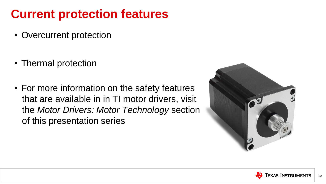#### **Current protection features**

- Overcurrent protection
- Thermal protection
- For more information on the safety features that are available in in TI motor drivers, visit the *Motor Drivers: Motor Technology* section of this presentation series